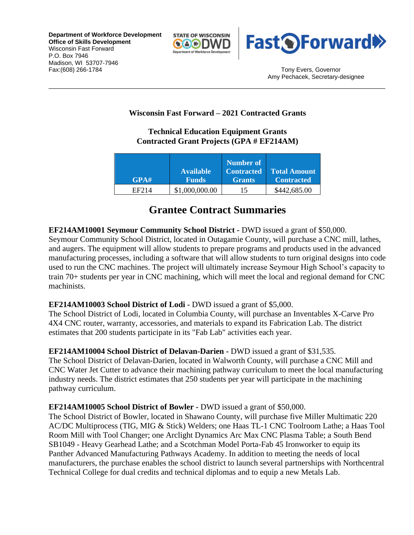**Department of Workforce Development Office of Skills Development** Wisconsin Fast Forward P.O. Box 7946 Madison, WI 53707-7946 Fax:(608) 266-1784 Tony Evers, Governor



Amy Pechacek, Secretary-designee

# **Wisconsin Fast Forward – 2021 Contracted Grants**

\_\_\_\_\_\_\_\_\_\_\_\_\_\_\_\_\_\_\_\_\_\_\_\_\_\_\_\_\_\_\_\_\_\_\_\_\_\_\_\_\_\_\_\_\_\_\_\_\_\_\_\_\_\_\_\_\_\_\_\_\_\_\_\_\_\_\_\_\_\_\_\_\_\_\_\_\_\_\_\_\_\_\_

# **Technical Education Equipment Grants Contracted Grant Projects (GPA # EF214AM)**

| GPA#  | <b>Available</b><br><b>Funds</b> | Number of<br><b>Contracted</b><br><b>Grants</b> | <b>Total Amount</b><br><b>Contracted</b> |
|-------|----------------------------------|-------------------------------------------------|------------------------------------------|
| EF214 | \$1,000,000.00                   | 15                                              | \$442,685.00                             |

# **Grantee Contract Summaries**

# **EF214AM10001 Seymour Community School District -** DWD issued a grant of \$50,000.

Seymour Community School District, located in Outagamie County, will purchase a CNC mill, lathes, and augers. The equipment will allow students to prepare programs and products used in the advanced manufacturing processes, including a software that will allow students to turn original designs into code used to run the CNC machines. The project will ultimately increase Seymour High School's capacity to train 70+ students per year in CNC machining, which will meet the local and regional demand for CNC machinists.

### **EF214AM10003 School District of Lodi -** DWD issued a grant of \$5,000.

The School District of Lodi, located in Columbia County, will purchase an Inventables X-Carve Pro 4X4 CNC router, warranty, accessories, and materials to expand its Fabrication Lab. The district estimates that 200 students participate in its "Fab Lab" activities each year.

### **EF214AM10004 School District of Delavan-Darien -** DWD issued a grant of \$31,535.

The School District of Delavan-Darien, located in Walworth County, will purchase a CNC Mill and CNC Water Jet Cutter to advance their machining pathway curriculum to meet the local manufacturing industry needs. The district estimates that 250 students per year will participate in the machining pathway curriculum.

### **EF214AM10005 School District of Bowler -** DWD issued a grant of \$50,000.

The School District of Bowler, located in Shawano County, will purchase five Miller Multimatic 220 AC/DC Multiprocess (TIG, MIG & Stick) Welders; one Haas TL-1 CNC Toolroom Lathe; a Haas Tool Room Mill with Tool Changer; one Arclight Dynamics Arc Max CNC Plasma Table; a South Bend SB1049 - Heavy Gearhead Lathe; and a Scotchman Model Porta-Fab 45 Ironworker to equip its Panther Advanced Manufacturing Pathways Academy. In addition to meeting the needs of local manufacturers, the purchase enables the school district to launch several partnerships with Northcentral Technical College for dual credits and technical diplomas and to equip a new Metals Lab.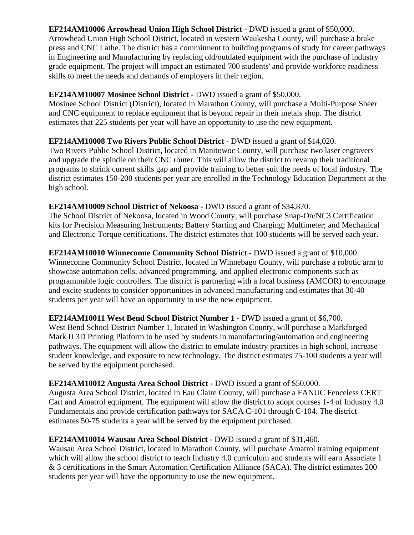# **EF214AM10006 Arrowhead Union High School District -** DWD issued a grant of \$50,000.

Arrowhead Union High School District, located in western Waukesha County, will purchase a brake press and CNC Lathe. The district has a commitment to building programs of study for career pathways in Engineering and Manufacturing by replacing old/outdated equipment with the purchase of industry grade equipment. The project will impact an estimated 700 students' and provide workforce readiness skills to meet the needs and demands of employers in their region.

#### **EF214AM10007 Mosinee School District -** DWD issued a grant of \$50,000.

Mosinee School District (District), located in Marathon County, will purchase a Multi-Purpose Sheer and CNC equipment to replace equipment that is beyond repair in their metals shop. The district estimates that 225 students per year will have an opportunity to use the new equipment.

### **EF214AM10008 Two Rivers Public School District -** DWD issued a grant of \$14,020.

Two Rivers Public School District, located in Manitowoc County, will purchase two laser engravers and upgrade the spindle on their CNC router. This will allow the district to revamp their traditional programs to shrink current skills gap and provide training to better suit the needs of local industry. The district estimates 150-200 students per year are enrolled in the Technology Education Department at the high school.

### **EF214AM10009 School District of Nekoosa -** DWD issued a grant of \$34,870.

The School District of Nekoosa, located in Wood County, will purchase Snap-On/NC3 Certification kits for Precision Measuring Instruments; Battery Starting and Charging; Multimeter; and Mechanical and Electronic Torque certifications. The district estimates that 100 students will be served each year.

### **EF214AM10010 Winneconne Community School District -** DWD issued a grant of \$10,000.

Winneconne Community School District, located in Winnebago County, will purchase a robotic arm to showcase automation cells, advanced programming, and applied electronic components such as programmable logic controllers. The district is partnering with a local business (AMCOR) to encourage and excite students to consider opportunities in advanced manufacturing and estimates that 30-40 students per year will have an opportunity to use the new equipment.

### **EF214AM10011 West Bend School District Number 1 -** DWD issued a grant of \$6,700.

West Bend School District Number 1, located in Washington County, will purchase a Markforged Mark II 3D Printing Platform to be used by students in manufacturing/automation and engineering pathways. The equipment will allow the district to emulate industry practices in high school, increase student knowledge, and exposure to new technology. The district estimates 75-100 students a year will be served by the equipment purchased.

### **EF214AM10012 Augusta Area School District -** DWD issued a grant of \$50,000.

Augusta Area School District, located in Eau Claire County, will purchase a FANUC Fenceless CERT Cart and Amatrol equipment. The equipment will allow the district to adopt courses 1-4 of Industry 4.0 Fundamentals and provide certification pathways for SACA C-101 through C-104. The district estimates 50-75 students a year will be served by the equipment purchased.

### **EF214AM10014 Wausau Area School District -** DWD issued a grant of \$31,460.

Wausau Area School District, located in Marathon County, will purchase Amatrol training equipment which will allow the school district to teach Industry 4.0 curriculum and students will earn Associate 1 & 3 certifications in the Smart Automation Certification Alliance (SACA). The district estimates 200 students per year will have the opportunity to use the new equipment.